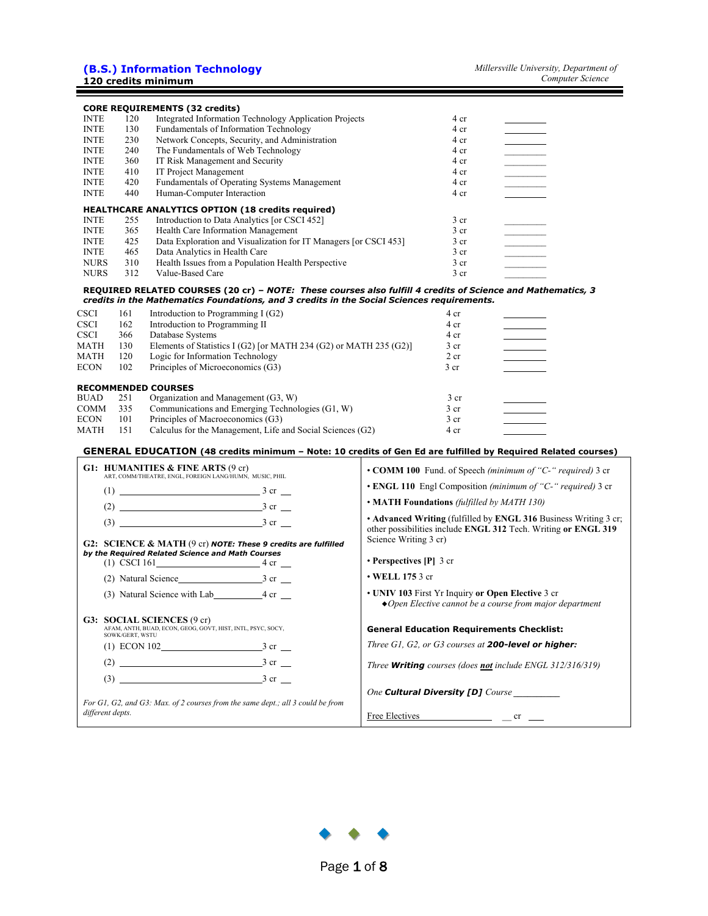|             |     | <b>CORE REQUIREMENTS (32 credits)</b>                            |                 |  |
|-------------|-----|------------------------------------------------------------------|-----------------|--|
| <b>INTE</b> | 120 | Integrated Information Technology Application Projects           | 4 cr            |  |
| <b>INTE</b> | 130 | Fundamentals of Information Technology                           | 4 cr            |  |
| <b>INTE</b> | 230 | Network Concepts, Security, and Administration                   | 4 cr            |  |
| <b>INTE</b> | 240 | The Fundamentals of Web Technology                               | 4 cr            |  |
| <b>INTE</b> | 360 | IT Risk Management and Security                                  | 4 cr            |  |
| <b>INTE</b> | 410 | <b>IT Project Management</b>                                     | 4 cr            |  |
| <b>INTE</b> | 420 | Fundamentals of Operating Systems Management                     | 4 cr            |  |
| <b>INTE</b> | 440 | Human-Computer Interaction                                       | 4 cr            |  |
|             |     | <b>HEALTHCARE ANALYTICS OPTION (18 credits required)</b>         |                 |  |
| <b>INTE</b> | 255 | Introduction to Data Analytics [or CSCI 452]                     | 3 <sub>cr</sub> |  |
| <b>INTE</b> | 365 | Health Care Information Management                               | 3 <sub>cr</sub> |  |
| <b>INTE</b> | 425 | Data Exploration and Visualization for IT Managers [or CSCI 453] | 3 <sub>cr</sub> |  |
| <b>INTE</b> | 465 | Data Analytics in Health Care                                    | 3 <sub>cr</sub> |  |
| <b>NURS</b> | 310 | Health Issues from a Population Health Perspective               | 3 <sub>cr</sub> |  |
| <b>NURS</b> | 312 | Value-Based Care                                                 | 3 <sub>cr</sub> |  |

#### **REQUIRED RELATED COURSES (20 cr) –** *NOTE: These courses also fulfill 4 credits of Science and Mathematics, 3 credits in the Mathematics Foundations, and 3 credits in the Social Sciences requirements.*

| <b>CSCI</b> | 161 | Introduction to Programming I $(G2)$                              | 4 cr            |
|-------------|-----|-------------------------------------------------------------------|-----------------|
| <b>CSCI</b> | 162 | Introduction to Programming II                                    | 4 cr            |
| <b>CSCI</b> | 366 | Database Systems                                                  | 4 cr            |
| <b>MATH</b> | 130 | Elements of Statistics I (G2) [or MATH 234 (G2) or MATH 235 (G2)] | 3 <sub>cr</sub> |
| <b>MATH</b> | 120 | Logic for Information Technology                                  | 2 cr            |
| <b>ECON</b> | 102 | Principles of Microeconomics (G3)                                 | 3 <sub>cr</sub> |
|             |     |                                                                   |                 |
|             |     | <b>RECOMMENDED COURSES</b>                                        |                 |
| <b>BUAD</b> |     |                                                                   |                 |
|             | 251 | Organization and Management (G3, W)                               | 3 <sub>cr</sub> |
| <b>COMM</b> | 335 | Communications and Emerging Technologies (G1, W)                  | 3 <sub>cr</sub> |
| <b>ECON</b> | 101 | Principles of Macroeconomics (G3)                                 | 3 <sub>cr</sub> |

#### **GENERAL EDUCATION (48 credits minimum – Note: 10 credits of Gen Ed are fulfilled by Required Related courses)**

| G1: HUMANITIES $\&$ FINE ARTS (9 cr)<br>ART. COMM/THEATRE. ENGL. FOREIGN LANG/HUMN. MUSIC. PHIL                     | • COMM 100 Fund. of Speech (minimum of "C-" required) 3 cr                                                                                     |
|---------------------------------------------------------------------------------------------------------------------|------------------------------------------------------------------------------------------------------------------------------------------------|
|                                                                                                                     | • ENGL 110 Engl Composition (minimum of "C-" required) 3 cr                                                                                    |
| $(2)$ 3 cr $\_\_$                                                                                                   | • MATH Foundations (fulfilled by MATH 130)                                                                                                     |
|                                                                                                                     | • Advanced Writing (fulfilled by ENGL 316 Business Writing 3 cr;<br>other possibilities include ENGL 312 Tech. Writing or ENGL 319             |
| G2: SCIENCE & MATH (9 cr) NOTE: These 9 credits are fulfilled                                                       | Science Writing 3 cr)                                                                                                                          |
| by the Required Related Science and Math Courses<br>(1) CSCI 161 $4 \text{ cr}$                                     | • Perspectives $[P]$ 3 cr                                                                                                                      |
|                                                                                                                     | $\cdot$ WELL 175 3 cr                                                                                                                          |
| (3) Natural Science with Lab 4 cr                                                                                   | • UNIV 103 First Yr Inquiry or Open Elective 3 cr<br>$\triangle$ Open Elective cannot be a course from major department                        |
| <b>G3: SOCIAL SCIENCES (9 cr)</b><br>AFAM, ANTH, BUAD, ECON, GEOG, GOVT, HIST, INTL, PSYC, SOCY,<br>SOWK/GERT, WSTU | <b>General Education Requirements Checklist:</b>                                                                                               |
| (1) ECON 102 3 cr                                                                                                   | Three $GI$ , $G2$ , or $G3$ courses at <b>200-level or higher:</b>                                                                             |
| $(2)$ 3 cr $\frac{3}{2}$                                                                                            | Three <b>Writing</b> courses (does <b>not</b> include ENGL 312/316/319)                                                                        |
| $(3)$ 3 cr                                                                                                          |                                                                                                                                                |
| For G1, G2, and G3: Max. of 2 courses from the same dept.; all 3 could be from                                      | One Cultural Diversity [D] Course                                                                                                              |
| different depts.                                                                                                    | $Free$ Electives $\qquad \qquad \qquad \qquad$ $\qquad \qquad$ $\qquad \qquad$ $\qquad \qquad$ $\qquad \qquad$ $\qquad \qquad$ $\qquad \qquad$ |

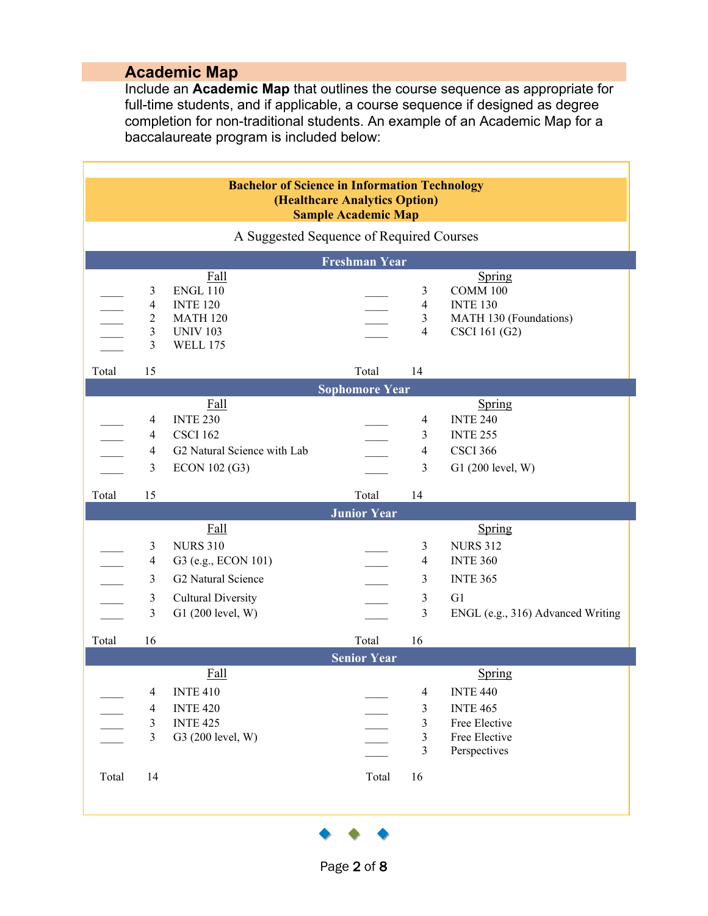# **Academic Map**

Include an **Academic Map** that outlines the course sequence as appropriate for full-time students, and if applicable, a course sequence if designed as degree completion for non-traditional students. An example of an Academic Map for a baccalaureate program is included below:

|       |                                                               | <b>Bachelor of Science in Information Technology</b>                                                                          | (Healthcare Analytics Option) |                                                                |                                                                                                            |
|-------|---------------------------------------------------------------|-------------------------------------------------------------------------------------------------------------------------------|-------------------------------|----------------------------------------------------------------|------------------------------------------------------------------------------------------------------------|
|       |                                                               |                                                                                                                               | <b>Sample Academic Map</b>    |                                                                |                                                                                                            |
|       |                                                               | A Suggested Sequence of Required Courses                                                                                      |                               |                                                                |                                                                                                            |
|       |                                                               |                                                                                                                               | Freshman Year                 |                                                                |                                                                                                            |
|       |                                                               | Fall<br><b>ENGL 110</b><br><b>INTE 120</b><br><b>MATH 120</b><br><b>UNIV 103</b><br><b>WELL 175</b>                           |                               | 3<br>$\overline{4}$<br>3<br>$\overline{4}$                     | Spring<br><b>COMM 100</b><br><b>INTE 130</b><br>MATH 130 (Foundations)<br>CSCI 161 (G2)                    |
| Total | 15                                                            |                                                                                                                               | Total                         | 14                                                             |                                                                                                            |
|       |                                                               |                                                                                                                               | <b>Sophomore Year</b>         |                                                                |                                                                                                            |
|       | $\mathfrak{Z}$                                                | Fall<br><b>INTE 230</b><br><b>CSCI 162</b><br>G2 Natural Science with Lab<br>ECON 102 (G3)                                    |                               | $\overline{4}$<br>3<br>$\overline{4}$<br>$\mathfrak{Z}$        | Spring<br><b>INTE 240</b><br><b>INTE 255</b><br><b>CSCI 366</b><br>G1 (200 level, W)                       |
| Total | 15                                                            |                                                                                                                               |                               |                                                                |                                                                                                            |
|       |                                                               |                                                                                                                               | Total                         | 14                                                             |                                                                                                            |
|       |                                                               |                                                                                                                               | <b>Junior Year</b>            |                                                                |                                                                                                            |
|       | $\mathcal{F}$<br>$\mathfrak{Z}$                               | <b>Fall</b><br><b>NURS 310</b><br>G3 (e.g., ECON 101)<br>G2 Natural Science<br><b>Cultural Diversity</b><br>G1 (200 level, W) |                               | 3<br>$\overline{4}$<br>3<br>3<br>3                             | Spring<br><b>NURS 312</b><br><b>INTE 360</b><br><b>INTE 365</b><br>G1<br>ENGL (e.g., 316) Advanced Writing |
| Total | 16                                                            |                                                                                                                               | Total                         | 16                                                             |                                                                                                            |
|       |                                                               |                                                                                                                               | <b>Senior Year</b>            |                                                                |                                                                                                            |
| Total | $\overline{4}$<br>$\overline{4}$<br>3<br>$\mathfrak{Z}$<br>14 | <b>Fall</b><br><b>INTE 410</b><br><b>INTE 420</b><br><b>INTE 425</b><br>G3 (200 level, W)                                     | Total                         | $\overline{4}$<br>3<br>3<br>$\overline{\mathbf{3}}$<br>3<br>16 | Spring<br><b>INTE 440</b><br><b>INTE 465</b><br>Free Elective<br>Free Elective<br>Perspectives             |

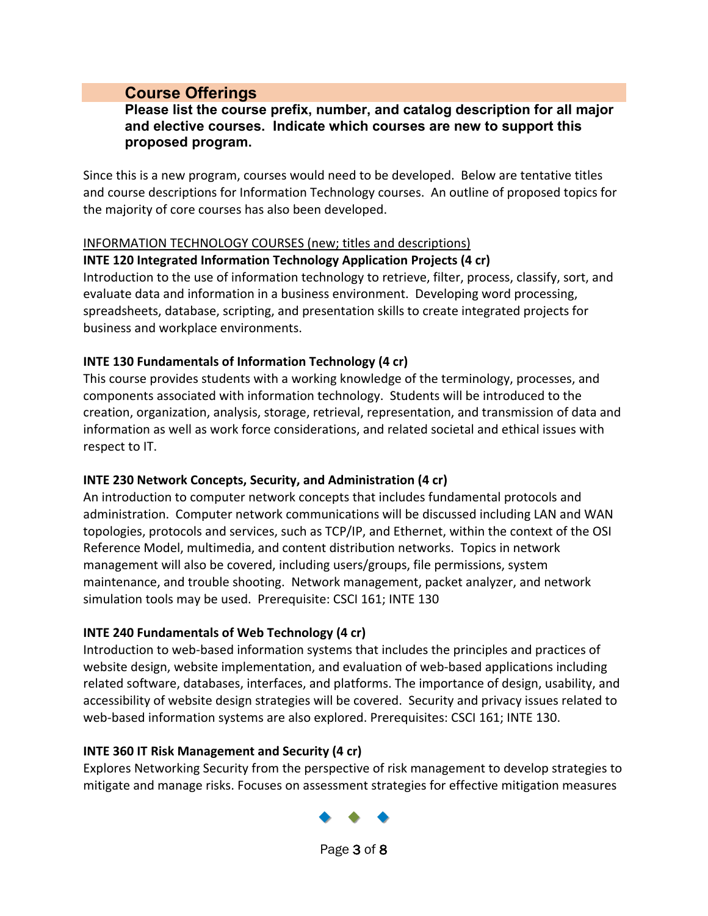# **Course Offerings**

### **Please list the course prefix, number, and catalog description for all major and elective courses. Indicate which courses are new to support this proposed program.**

Since this is a new program, courses would need to be developed. Below are tentative titles and course descriptions for Information Technology courses. An outline of proposed topics for the majority of core courses has also been developed.

### INFORMATION TECHNOLOGY COURSES (new; titles and descriptions)

#### **INTE 120 Integrated Information Technology Application Projects (4 cr)**

Introduction to the use of information technology to retrieve, filter, process, classify, sort, and evaluate data and information in a business environment. Developing word processing, spreadsheets, database, scripting, and presentation skills to create integrated projects for business and workplace environments.

#### **INTE 130 Fundamentals of Information Technology (4 cr)**

This course provides students with a working knowledge of the terminology, processes, and components associated with information technology. Students will be introduced to the creation, organization, analysis, storage, retrieval, representation, and transmission of data and information as well as work force considerations, and related societal and ethical issues with respect to IT.

### **INTE 230 Network Concepts, Security, and Administration (4 cr)**

An introduction to computer network concepts that includes fundamental protocols and administration. Computer network communications will be discussed including LAN and WAN topologies, protocols and services, such as TCP/IP, and Ethernet, within the context of the OSI Reference Model, multimedia, and content distribution networks. Topics in network management will also be covered, including users/groups, file permissions, system maintenance, and trouble shooting. Network management, packet analyzer, and network simulation tools may be used. Prerequisite: CSCI 161; INTE 130

### **INTE 240 Fundamentals of Web Technology (4 cr)**

Introduction to web-based information systems that includes the principles and practices of website design, website implementation, and evaluation of web-based applications including related software, databases, interfaces, and platforms. The importance of design, usability, and accessibility of website design strategies will be covered. Security and privacy issues related to web-based information systems are also explored. Prerequisites: CSCI 161; INTE 130.

### **INTE 360 IT Risk Management and Security (4 cr)**

Explores Networking Security from the perspective of risk management to develop strategies to mitigate and manage risks. Focuses on assessment strategies for effective mitigation measures



Page 3 of 8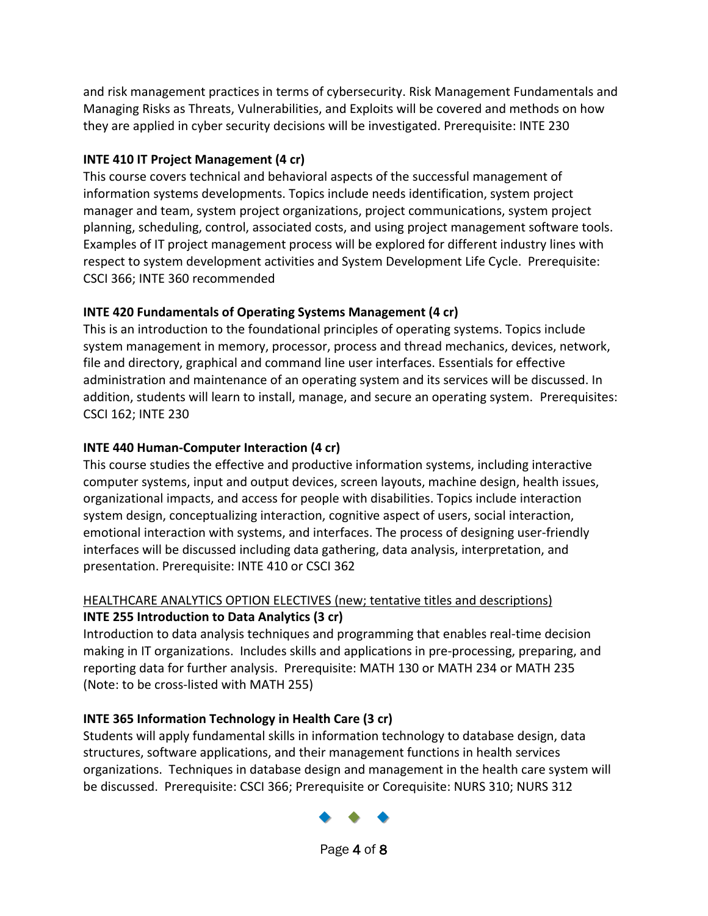and risk management practices in terms of cybersecurity. Risk Management Fundamentals and Managing Risks as Threats, Vulnerabilities, and Exploits will be covered and methods on how they are applied in cyber security decisions will be investigated. Prerequisite: INTE 230

# **INTE 410 IT Project Management (4 cr)**

This course covers technical and behavioral aspects of the successful management of information systems developments. Topics include needs identification, system project manager and team, system project organizations, project communications, system project planning, scheduling, control, associated costs, and using project management software tools. Examples of IT project management process will be explored for different industry lines with respect to system development activities and System Development Life Cycle. Prerequisite: CSCI 366; INTE 360 recommended

# **INTE 420 Fundamentals of Operating Systems Management (4 cr)**

This is an introduction to the foundational principles of operating systems. Topics include system management in memory, processor, process and thread mechanics, devices, network, file and directory, graphical and command line user interfaces. Essentials for effective administration and maintenance of an operating system and its services will be discussed. In addition, students will learn to install, manage, and secure an operating system. Prerequisites: CSCI 162; INTE 230

# **INTE 440 Human-Computer Interaction (4 cr)**

This course studies the effective and productive information systems, including interactive computer systems, input and output devices, screen layouts, machine design, health issues, organizational impacts, and access for people with disabilities. Topics include interaction system design, conceptualizing interaction, cognitive aspect of users, social interaction, emotional interaction with systems, and interfaces. The process of designing user-friendly interfaces will be discussed including data gathering, data analysis, interpretation, and presentation. Prerequisite: INTE 410 or CSCI 362

# HEALTHCARE ANALYTICS OPTION ELECTIVES (new; tentative titles and descriptions) **INTE 255 Introduction to Data Analytics (3 cr)**

Introduction to data analysis techniques and programming that enables real-time decision making in IT organizations. Includes skills and applications in pre-processing, preparing, and reporting data for further analysis. Prerequisite: MATH 130 or MATH 234 or MATH 235 (Note: to be cross-listed with MATH 255)

# **INTE 365 Information Technology in Health Care (3 cr)**

Students will apply fundamental skills in information technology to database design, data structures, software applications, and their management functions in health services organizations. Techniques in database design and management in the health care system will be discussed. Prerequisite: CSCI 366; Prerequisite or Corequisite: NURS 310; NURS 312